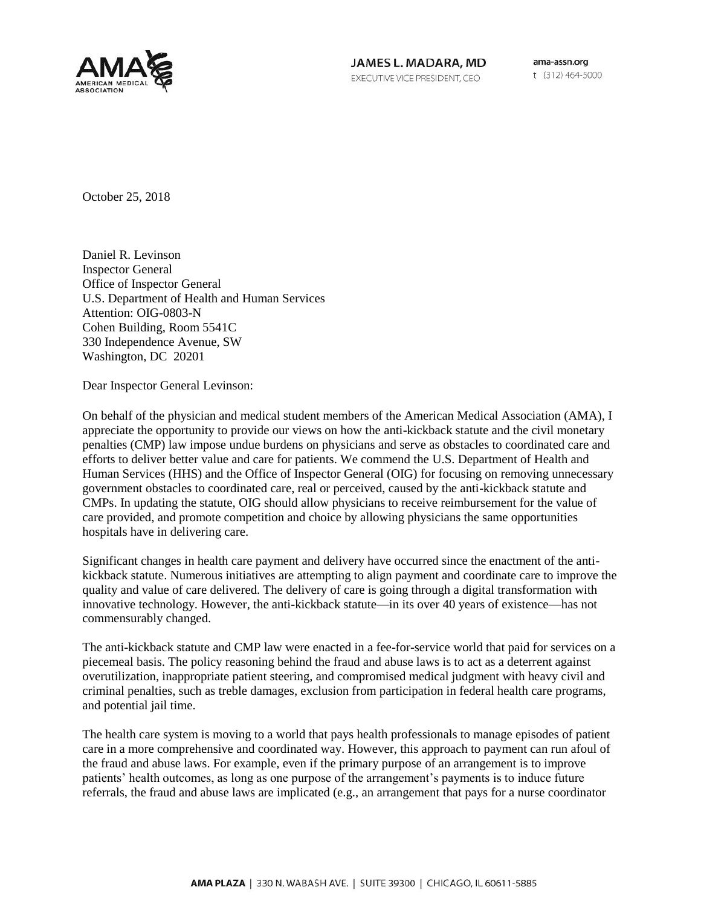

JAMES L. MADARA, MD EXECUTIVE VICE PRESIDENT, CEO

ama-assn.org t (312) 464-5000

October 25, 2018

Daniel R. Levinson Inspector General Office of Inspector General U.S. Department of Health and Human Services Attention: OIG-0803-N Cohen Building, Room 5541C 330 Independence Avenue, SW Washington, DC 20201

Dear Inspector General Levinson:

On behalf of the physician and medical student members of the American Medical Association (AMA), I appreciate the opportunity to provide our views on how the anti-kickback statute and the civil monetary penalties (CMP) law impose undue burdens on physicians and serve as obstacles to coordinated care and efforts to deliver better value and care for patients. We commend the U.S. Department of Health and Human Services (HHS) and the Office of Inspector General (OIG) for focusing on removing unnecessary government obstacles to coordinated care, real or perceived, caused by the anti-kickback statute and CMPs. In updating the statute, OIG should allow physicians to receive reimbursement for the value of care provided, and promote competition and choice by allowing physicians the same opportunities hospitals have in delivering care.

Significant changes in health care payment and delivery have occurred since the enactment of the antikickback statute. Numerous initiatives are attempting to align payment and coordinate care to improve the quality and value of care delivered. The delivery of care is going through a digital transformation with innovative technology. However, the anti-kickback statute—in its over 40 years of existence—has not commensurably changed.

The anti-kickback statute and CMP law were enacted in a fee-for-service world that paid for services on a piecemeal basis. The policy reasoning behind the fraud and abuse laws is to act as a deterrent against overutilization, inappropriate patient steering, and compromised medical judgment with heavy civil and criminal penalties, such as treble damages, exclusion from participation in federal health care programs, and potential jail time.

The health care system is moving to a world that pays health professionals to manage episodes of patient care in a more comprehensive and coordinated way. However, this approach to payment can run afoul of the fraud and abuse laws. For example, even if the primary purpose of an arrangement is to improve patients' health outcomes, as long as one purpose of the arrangement's payments is to induce future referrals, the fraud and abuse laws are implicated (e.g., an arrangement that pays for a nurse coordinator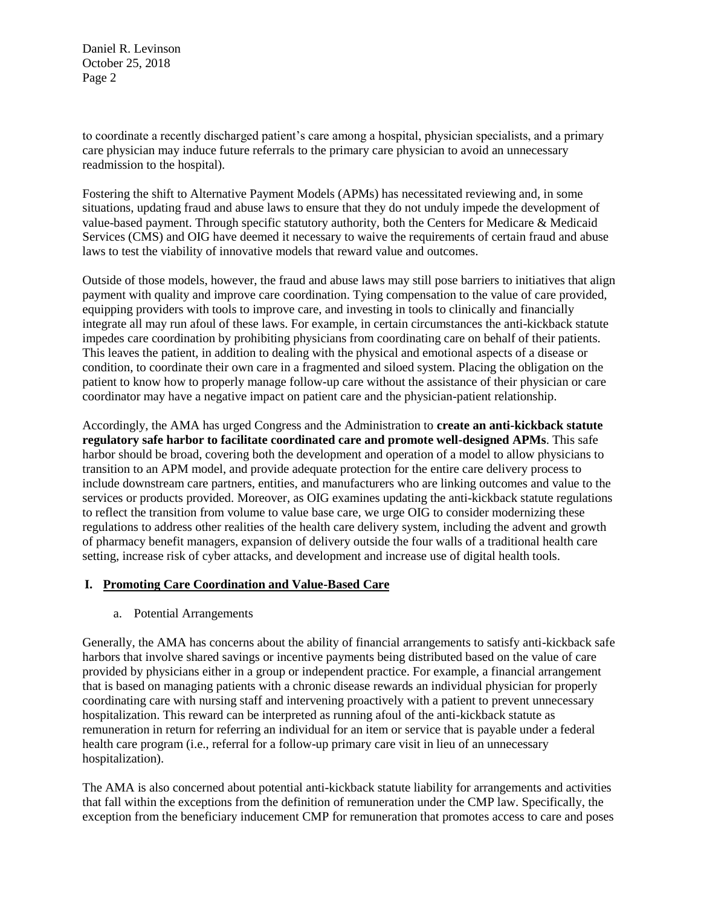to coordinate a recently discharged patient's care among a hospital, physician specialists, and a primary care physician may induce future referrals to the primary care physician to avoid an unnecessary readmission to the hospital).

Fostering the shift to Alternative Payment Models (APMs) has necessitated reviewing and, in some situations, updating fraud and abuse laws to ensure that they do not unduly impede the development of value-based payment. Through specific statutory authority, both the Centers for Medicare & Medicaid Services (CMS) and OIG have deemed it necessary to waive the requirements of certain fraud and abuse laws to test the viability of innovative models that reward value and outcomes.

Outside of those models, however, the fraud and abuse laws may still pose barriers to initiatives that align payment with quality and improve care coordination. Tying compensation to the value of care provided, equipping providers with tools to improve care, and investing in tools to clinically and financially integrate all may run afoul of these laws. For example, in certain circumstances the anti-kickback statute impedes care coordination by prohibiting physicians from coordinating care on behalf of their patients. This leaves the patient, in addition to dealing with the physical and emotional aspects of a disease or condition, to coordinate their own care in a fragmented and siloed system. Placing the obligation on the patient to know how to properly manage follow-up care without the assistance of their physician or care coordinator may have a negative impact on patient care and the physician-patient relationship.

Accordingly, the AMA has urged Congress and the Administration to **create an anti-kickback statute regulatory safe harbor to facilitate coordinated care and promote well-designed APMs**. This safe harbor should be broad, covering both the development and operation of a model to allow physicians to transition to an APM model, and provide adequate protection for the entire care delivery process to include downstream care partners, entities, and manufacturers who are linking outcomes and value to the services or products provided. Moreover, as OIG examines updating the anti-kickback statute regulations to reflect the transition from volume to value base care, we urge OIG to consider modernizing these regulations to address other realities of the health care delivery system, including the advent and growth of pharmacy benefit managers, expansion of delivery outside the four walls of a traditional health care setting, increase risk of cyber attacks, and development and increase use of digital health tools.

#### **I. Promoting Care Coordination and Value-Based Care**

a. Potential Arrangements

Generally, the AMA has concerns about the ability of financial arrangements to satisfy anti-kickback safe harbors that involve shared savings or incentive payments being distributed based on the value of care provided by physicians either in a group or independent practice. For example, a financial arrangement that is based on managing patients with a chronic disease rewards an individual physician for properly coordinating care with nursing staff and intervening proactively with a patient to prevent unnecessary hospitalization. This reward can be interpreted as running afoul of the anti-kickback statute as remuneration in return for referring an individual for an item or service that is payable under a federal health care program (i.e., referral for a follow-up primary care visit in lieu of an unnecessary hospitalization).

The AMA is also concerned about potential anti-kickback statute liability for arrangements and activities that fall within the exceptions from the definition of remuneration under the CMP law. Specifically, the exception from the beneficiary inducement CMP for remuneration that promotes access to care and poses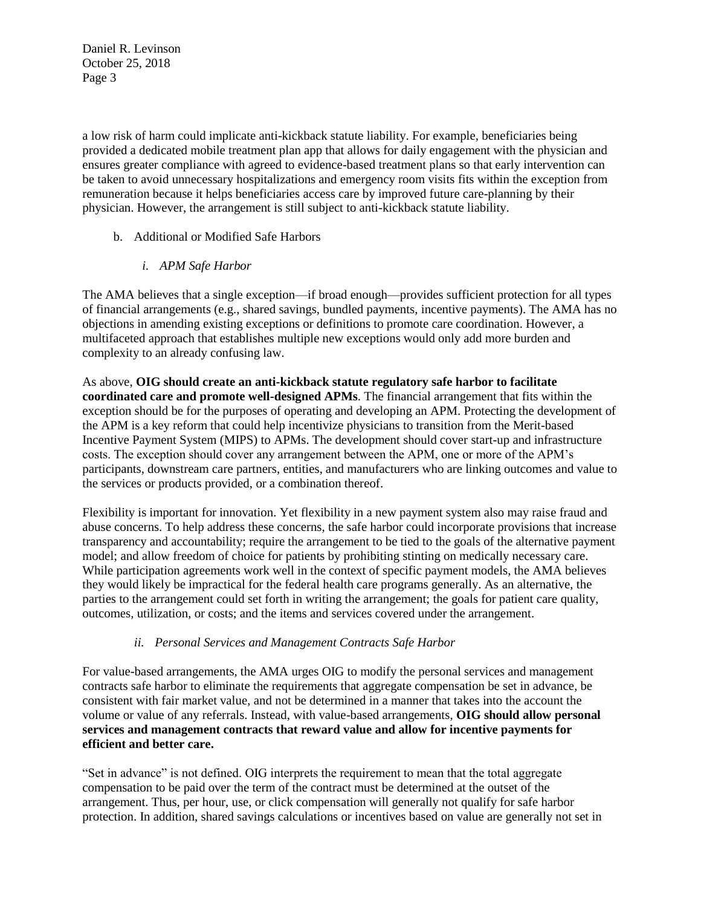a low risk of harm could implicate anti-kickback statute liability. For example, beneficiaries being provided a dedicated mobile treatment plan app that allows for daily engagement with the physician and ensures greater compliance with agreed to evidence-based treatment plans so that early intervention can be taken to avoid unnecessary hospitalizations and emergency room visits fits within the exception from remuneration because it helps beneficiaries access care by improved future care-planning by their physician. However, the arrangement is still subject to anti-kickback statute liability.

- b. Additional or Modified Safe Harbors
	- *i. APM Safe Harbor*

The AMA believes that a single exception—if broad enough—provides sufficient protection for all types of financial arrangements (e.g., shared savings, bundled payments, incentive payments). The AMA has no objections in amending existing exceptions or definitions to promote care coordination. However, a multifaceted approach that establishes multiple new exceptions would only add more burden and complexity to an already confusing law.

As above, **OIG should create an anti-kickback statute regulatory safe harbor to facilitate coordinated care and promote well-designed APMs**. The financial arrangement that fits within the exception should be for the purposes of operating and developing an APM. Protecting the development of the APM is a key reform that could help incentivize physicians to transition from the Merit-based Incentive Payment System (MIPS) to APMs. The development should cover start-up and infrastructure costs. The exception should cover any arrangement between the APM, one or more of the APM's participants, downstream care partners, entities, and manufacturers who are linking outcomes and value to the services or products provided, or a combination thereof.

Flexibility is important for innovation. Yet flexibility in a new payment system also may raise fraud and abuse concerns. To help address these concerns, the safe harbor could incorporate provisions that increase transparency and accountability; require the arrangement to be tied to the goals of the alternative payment model; and allow freedom of choice for patients by prohibiting stinting on medically necessary care. While participation agreements work well in the context of specific payment models, the AMA believes they would likely be impractical for the federal health care programs generally. As an alternative, the parties to the arrangement could set forth in writing the arrangement; the goals for patient care quality, outcomes, utilization, or costs; and the items and services covered under the arrangement.

## *ii. Personal Services and Management Contracts Safe Harbor*

For value-based arrangements, the AMA urges OIG to modify the personal services and management contracts safe harbor to eliminate the requirements that aggregate compensation be set in advance, be consistent with fair market value, and not be determined in a manner that takes into the account the volume or value of any referrals. Instead, with value-based arrangements, **OIG should allow personal services and management contracts that reward value and allow for incentive payments for efficient and better care.** 

"Set in advance" is not defined. OIG interprets the requirement to mean that the total aggregate compensation to be paid over the term of the contract must be determined at the outset of the arrangement. Thus, per hour, use, or click compensation will generally not qualify for safe harbor protection. In addition, shared savings calculations or incentives based on value are generally not set in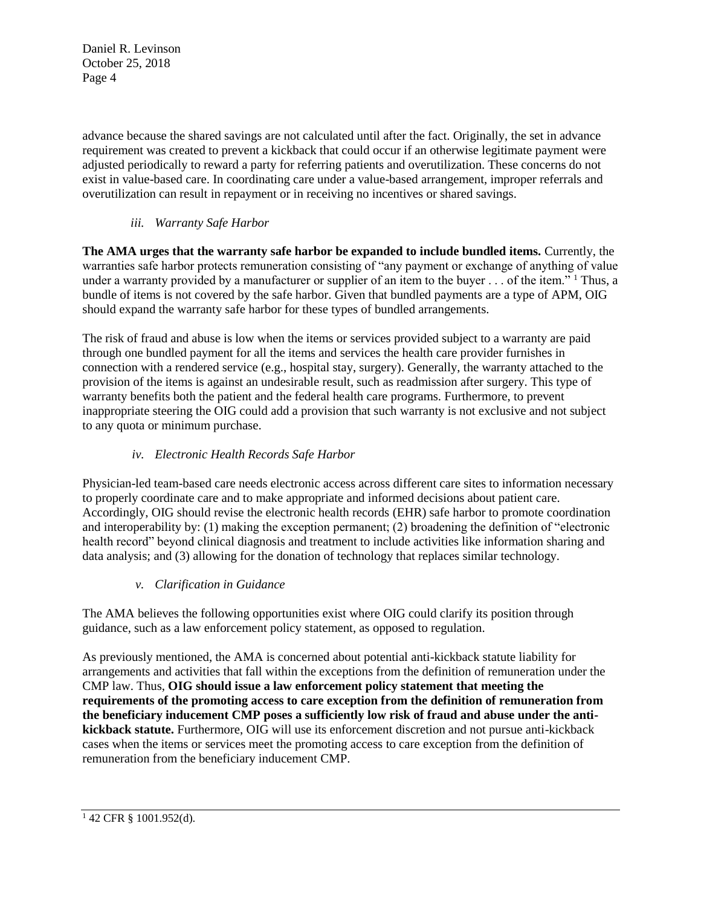advance because the shared savings are not calculated until after the fact. Originally, the set in advance requirement was created to prevent a kickback that could occur if an otherwise legitimate payment were adjusted periodically to reward a party for referring patients and overutilization. These concerns do not exist in value-based care. In coordinating care under a value-based arrangement, improper referrals and overutilization can result in repayment or in receiving no incentives or shared savings.

# *iii. Warranty Safe Harbor*

**The AMA urges that the warranty safe harbor be expanded to include bundled items.** Currently, the warranties safe harbor protects remuneration consisting of "any payment or exchange of anything of value under a warranty provided by a manufacturer or supplier of an item to the buyer  $\ldots$  of the item." <sup>1</sup> Thus, a bundle of items is not covered by the safe harbor. Given that bundled payments are a type of APM, OIG should expand the warranty safe harbor for these types of bundled arrangements.

The risk of fraud and abuse is low when the items or services provided subject to a warranty are paid through one bundled payment for all the items and services the health care provider furnishes in connection with a rendered service (e.g., hospital stay, surgery). Generally, the warranty attached to the provision of the items is against an undesirable result, such as readmission after surgery. This type of warranty benefits both the patient and the federal health care programs. Furthermore, to prevent inappropriate steering the OIG could add a provision that such warranty is not exclusive and not subject to any quota or minimum purchase.

## *iv. Electronic Health Records Safe Harbor*

Physician-led team-based care needs electronic access across different care sites to information necessary to properly coordinate care and to make appropriate and informed decisions about patient care. Accordingly, OIG should revise the electronic health records (EHR) safe harbor to promote coordination and interoperability by: (1) making the exception permanent; (2) broadening the definition of "electronic health record" beyond clinical diagnosis and treatment to include activities like information sharing and data analysis; and (3) allowing for the donation of technology that replaces similar technology.

## *v. Clarification in Guidance*

The AMA believes the following opportunities exist where OIG could clarify its position through guidance, such as a law enforcement policy statement, as opposed to regulation.

As previously mentioned, the AMA is concerned about potential anti-kickback statute liability for arrangements and activities that fall within the exceptions from the definition of remuneration under the CMP law. Thus, **OIG should issue a law enforcement policy statement that meeting the requirements of the promoting access to care exception from the definition of remuneration from the beneficiary inducement CMP poses a sufficiently low risk of fraud and abuse under the antikickback statute.** Furthermore, OIG will use its enforcement discretion and not pursue anti-kickback cases when the items or services meet the promoting access to care exception from the definition of remuneration from the beneficiary inducement CMP.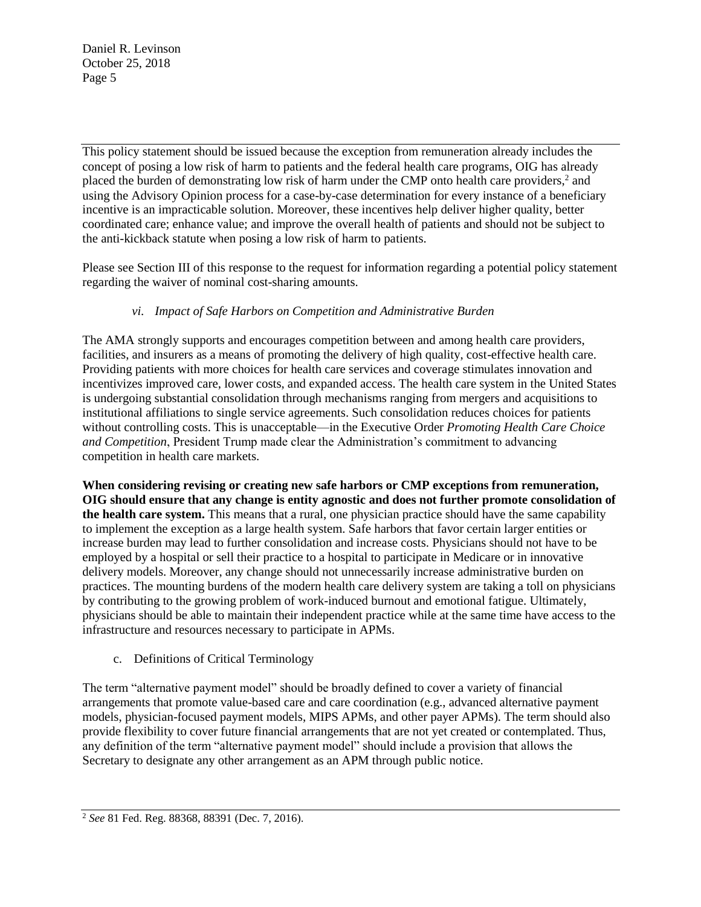This policy statement should be issued because the exception from remuneration already includes the concept of posing a low risk of harm to patients and the federal health care programs, OIG has already placed the burden of demonstrating low risk of harm under the CMP onto health care providers,<sup>2</sup> and using the Advisory Opinion process for a case-by-case determination for every instance of a beneficiary incentive is an impracticable solution. Moreover, these incentives help deliver higher quality, better coordinated care; enhance value; and improve the overall health of patients and should not be subject to the anti-kickback statute when posing a low risk of harm to patients.

Please see Section III of this response to the request for information regarding a potential policy statement regarding the waiver of nominal cost-sharing amounts.

## *vi. Impact of Safe Harbors on Competition and Administrative Burden*

The AMA strongly supports and encourages competition between and among health care providers, facilities, and insurers as a means of promoting the delivery of high quality, cost-effective health care. Providing patients with more choices for health care services and coverage stimulates innovation and incentivizes improved care, lower costs, and expanded access. The health care system in the United States is undergoing substantial consolidation through mechanisms ranging from mergers and acquisitions to institutional affiliations to single service agreements. Such consolidation reduces choices for patients without controlling costs. This is unacceptable—in the Executive Order *Promoting Health Care Choice and Competition*, President Trump made clear the Administration's commitment to advancing competition in health care markets.

**When considering revising or creating new safe harbors or CMP exceptions from remuneration, OIG should ensure that any change is entity agnostic and does not further promote consolidation of the health care system.** This means that a rural, one physician practice should have the same capability to implement the exception as a large health system. Safe harbors that favor certain larger entities or increase burden may lead to further consolidation and increase costs. Physicians should not have to be employed by a hospital or sell their practice to a hospital to participate in Medicare or in innovative delivery models. Moreover, any change should not unnecessarily increase administrative burden on practices. The mounting burdens of the modern health care delivery system are taking a toll on physicians by contributing to the growing problem of work-induced burnout and emotional fatigue. Ultimately, physicians should be able to maintain their independent practice while at the same time have access to the infrastructure and resources necessary to participate in APMs.

c. Definitions of Critical Terminology

The term "alternative payment model" should be broadly defined to cover a variety of financial arrangements that promote value-based care and care coordination (e.g., advanced alternative payment models, physician-focused payment models, MIPS APMs, and other payer APMs). The term should also provide flexibility to cover future financial arrangements that are not yet created or contemplated. Thus, any definition of the term "alternative payment model" should include a provision that allows the Secretary to designate any other arrangement as an APM through public notice.

<sup>2</sup> *See* 81 Fed. Reg. 88368, 88391 (Dec. 7, 2016).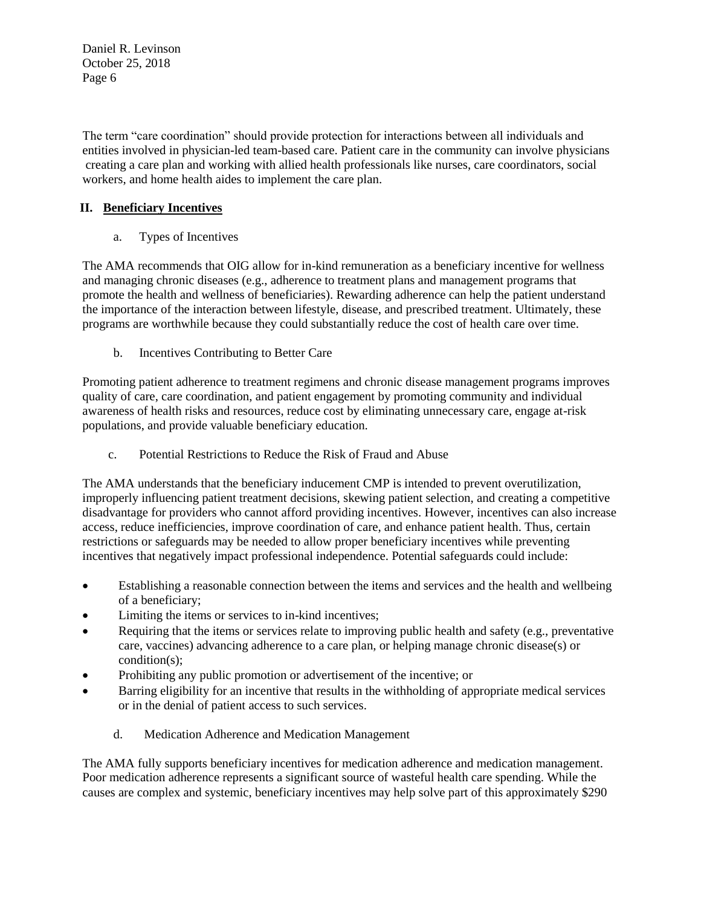The term "care coordination" should provide protection for interactions between all individuals and entities involved in physician-led team-based care. Patient care in the community can involve physicians creating a care plan and working with allied health professionals like nurses, care coordinators, social workers, and home health aides to implement the care plan.

# **II. Beneficiary Incentives**

a. Types of Incentives

The AMA recommends that OIG allow for in-kind remuneration as a beneficiary incentive for wellness and managing chronic diseases (e.g., adherence to treatment plans and management programs that promote the health and wellness of beneficiaries). Rewarding adherence can help the patient understand the importance of the interaction between lifestyle, disease, and prescribed treatment. Ultimately, these programs are worthwhile because they could substantially reduce the cost of health care over time.

b. Incentives Contributing to Better Care

Promoting patient adherence to treatment regimens and chronic disease management programs improves quality of care, care coordination, and patient engagement by promoting community and individual awareness of health risks and resources, reduce cost by eliminating unnecessary care, engage at-risk populations, and provide valuable beneficiary education.

c. Potential Restrictions to Reduce the Risk of Fraud and Abuse

The AMA understands that the beneficiary inducement CMP is intended to prevent overutilization, improperly influencing patient treatment decisions, skewing patient selection, and creating a competitive disadvantage for providers who cannot afford providing incentives. However, incentives can also increase access, reduce inefficiencies, improve coordination of care, and enhance patient health. Thus, certain restrictions or safeguards may be needed to allow proper beneficiary incentives while preventing incentives that negatively impact professional independence. Potential safeguards could include:

- Establishing a reasonable connection between the items and services and the health and wellbeing of a beneficiary;
- Limiting the items or services to in-kind incentives;
- Requiring that the items or services relate to improving public health and safety (e.g., preventative care, vaccines) advancing adherence to a care plan, or helping manage chronic disease(s) or condition(s);
- Prohibiting any public promotion or advertisement of the incentive; or
- Barring eligibility for an incentive that results in the withholding of appropriate medical services or in the denial of patient access to such services.
	- d. Medication Adherence and Medication Management

The AMA fully supports beneficiary incentives for medication adherence and medication management. Poor medication adherence represents a significant source of wasteful health care spending. While the causes are complex and systemic, beneficiary incentives may help solve part of this approximately \$290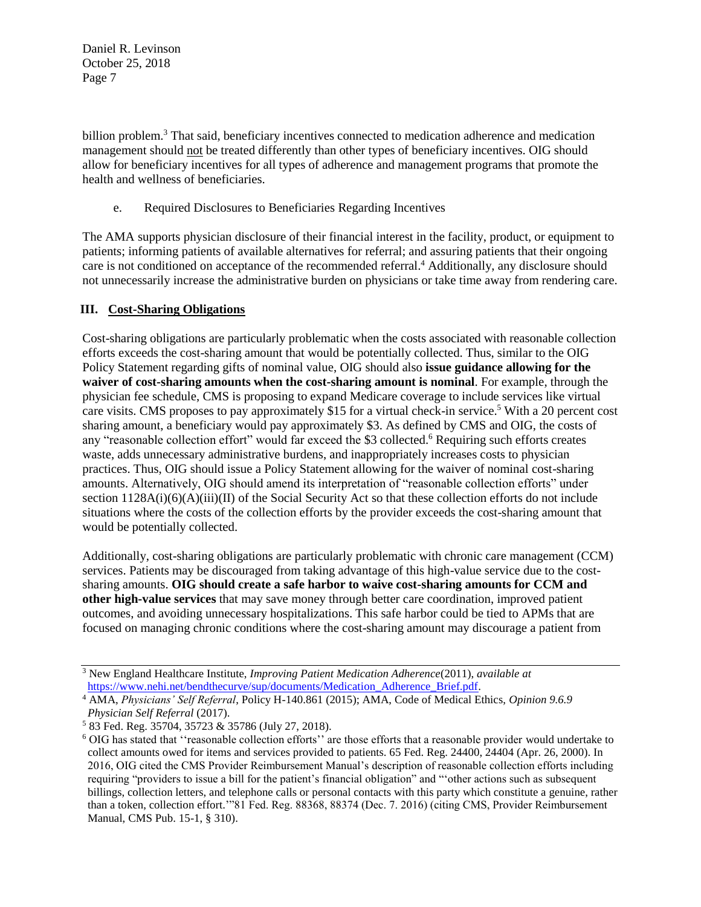billion problem.<sup>3</sup> That said, beneficiary incentives connected to medication adherence and medication management should not be treated differently than other types of beneficiary incentives. OIG should allow for beneficiary incentives for all types of adherence and management programs that promote the health and wellness of beneficiaries.

e. Required Disclosures to Beneficiaries Regarding Incentives

The AMA supports physician disclosure of their financial interest in the facility, product, or equipment to patients; informing patients of available alternatives for referral; and assuring patients that their ongoing care is not conditioned on acceptance of the recommended referral.<sup>4</sup> Additionally, any disclosure should not unnecessarily increase the administrative burden on physicians or take time away from rendering care.

## **III. Cost-Sharing Obligations**

Cost-sharing obligations are particularly problematic when the costs associated with reasonable collection efforts exceeds the cost-sharing amount that would be potentially collected. Thus, similar to the OIG Policy Statement regarding gifts of nominal value, OIG should also **issue guidance allowing for the waiver of cost-sharing amounts when the cost-sharing amount is nominal**. For example, through the physician fee schedule, CMS is proposing to expand Medicare coverage to include services like virtual care visits. CMS proposes to pay approximately \$15 for a virtual check-in service.<sup>5</sup> With a 20 percent cost sharing amount, a beneficiary would pay approximately \$3. As defined by CMS and OIG, the costs of any "reasonable collection effort" would far exceed the \$3 collected.<sup>6</sup> Requiring such efforts creates waste, adds unnecessary administrative burdens, and inappropriately increases costs to physician practices. Thus, OIG should issue a Policy Statement allowing for the waiver of nominal cost-sharing amounts. Alternatively, OIG should amend its interpretation of "reasonable collection efforts" under section  $1128A(i)(6)(A)(iii)(II)$  of the Social Security Act so that these collection efforts do not include situations where the costs of the collection efforts by the provider exceeds the cost-sharing amount that would be potentially collected.

Additionally, cost-sharing obligations are particularly problematic with chronic care management (CCM) services. Patients may be discouraged from taking advantage of this high-value service due to the costsharing amounts. **OIG should create a safe harbor to waive cost-sharing amounts for CCM and other high-value services** that may save money through better care coordination, improved patient outcomes, and avoiding unnecessary hospitalizations. This safe harbor could be tied to APMs that are focused on managing chronic conditions where the cost-sharing amount may discourage a patient from

<sup>3</sup> New England Healthcare Institute, *Improving Patient Medication Adherence*(2011), *available at*  [https://www.nehi.net/bendthecurve/sup/documents/Medication\\_Adherence\\_Brief.pdf.](https://www.nehi.net/bendthecurve/sup/documents/Medication_Adherence_Brief.pdf)

<sup>4</sup> AMA, *Physicians' Self Referral*, Policy H-140.861 (2015); AMA, Code of Medical Ethics, *Opinion 9.6.9 Physician Self Referral* (2017).

<sup>5</sup> 83 Fed. Reg. 35704, 35723 & 35786 (July 27, 2018).

<sup>6</sup> OIG has stated that ''reasonable collection efforts'' are those efforts that a reasonable provider would undertake to collect amounts owed for items and services provided to patients. 65 Fed. Reg. 24400, 24404 (Apr. 26, 2000). In 2016, OIG cited the CMS Provider Reimbursement Manual's description of reasonable collection efforts including requiring "providers to issue a bill for the patient's financial obligation" and "'other actions such as subsequent billings, collection letters, and telephone calls or personal contacts with this party which constitute a genuine, rather than a token, collection effort.'"81 Fed. Reg. 88368, 88374 (Dec. 7. 2016) (citing CMS, Provider Reimbursement Manual, CMS Pub. 15-1, § 310).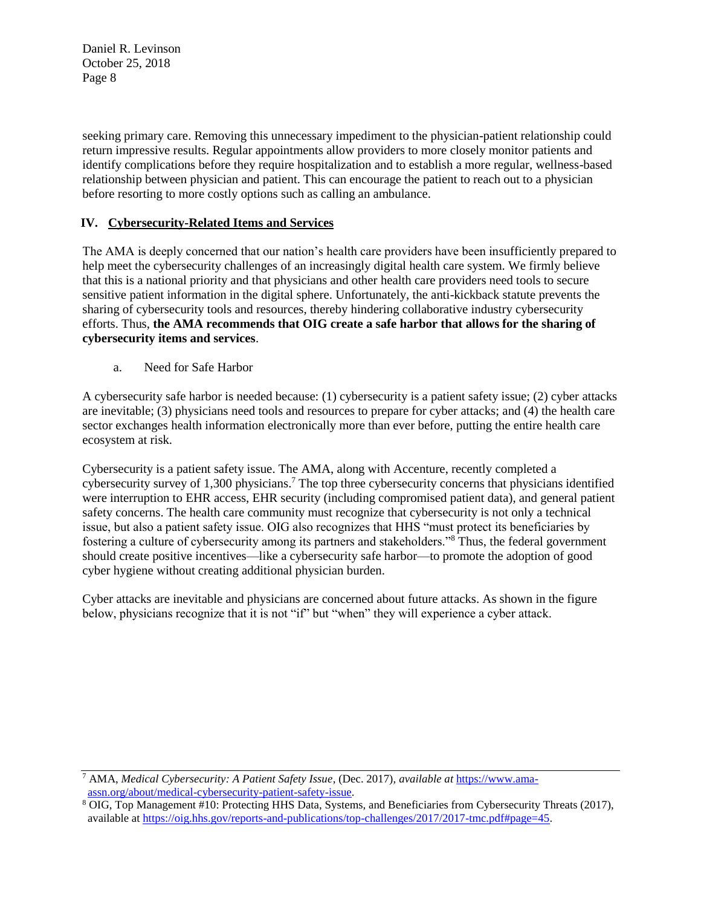seeking primary care. Removing this unnecessary impediment to the physician-patient relationship could return impressive results. Regular appointments allow providers to more closely monitor patients and identify complications before they require hospitalization and to establish a more regular, wellness-based relationship between physician and patient. This can encourage the patient to reach out to a physician before resorting to more costly options such as calling an ambulance.

### **IV. Cybersecurity-Related Items and Services**

The AMA is deeply concerned that our nation's health care providers have been insufficiently prepared to help meet the cybersecurity challenges of an increasingly digital health care system. We firmly believe that this is a national priority and that physicians and other health care providers need tools to secure sensitive patient information in the digital sphere. Unfortunately, the anti-kickback statute prevents the sharing of cybersecurity tools and resources, thereby hindering collaborative industry cybersecurity efforts. Thus, **the AMA recommends that OIG create a safe harbor that allows for the sharing of cybersecurity items and services**.

a. Need for Safe Harbor

A cybersecurity safe harbor is needed because: (1) cybersecurity is a patient safety issue; (2) cyber attacks are inevitable; (3) physicians need tools and resources to prepare for cyber attacks; and (4) the health care sector exchanges health information electronically more than ever before, putting the entire health care ecosystem at risk.

Cybersecurity is a patient safety issue. The AMA, along with Accenture, recently completed a cybersecurity survey of 1,300 physicians.<sup>7</sup> The top three cybersecurity concerns that physicians identified were interruption to EHR access, EHR security (including compromised patient data), and general patient safety concerns. The health care community must recognize that cybersecurity is not only a technical issue, but also a patient safety issue. OIG also recognizes that HHS "must protect its beneficiaries by fostering a culture of cybersecurity among its partners and stakeholders."<sup>8</sup> Thus, the federal government should create positive incentives—like a cybersecurity safe harbor—to promote the adoption of good cyber hygiene without creating additional physician burden.

Cyber attacks are inevitable and physicians are concerned about future attacks. As shown in the figure below, physicians recognize that it is not "if" but "when" they will experience a cyber attack.

<sup>7</sup> AMA, *Medical Cybersecurity: A Patient Safety Issue*, (Dec. 2017), *available at* [https://www.ama](https://www.ama-assn.org/about/medical-cybersecurity-patient-safety-issue)[assn.org/about/medical-cybersecurity-patient-safety-issue.](https://www.ama-assn.org/about/medical-cybersecurity-patient-safety-issue) 

<sup>8</sup> OIG, Top Management #10: Protecting HHS Data, Systems, and Beneficiaries from Cybersecurity Threats (2017), available at [https://oig.hhs.gov/reports-and-publications/top-challenges/2017/2017-tmc.pdf#page=45.](https://oig.hhs.gov/reports-and-publications/top-challenges/2017/2017-tmc.pdf#page=45)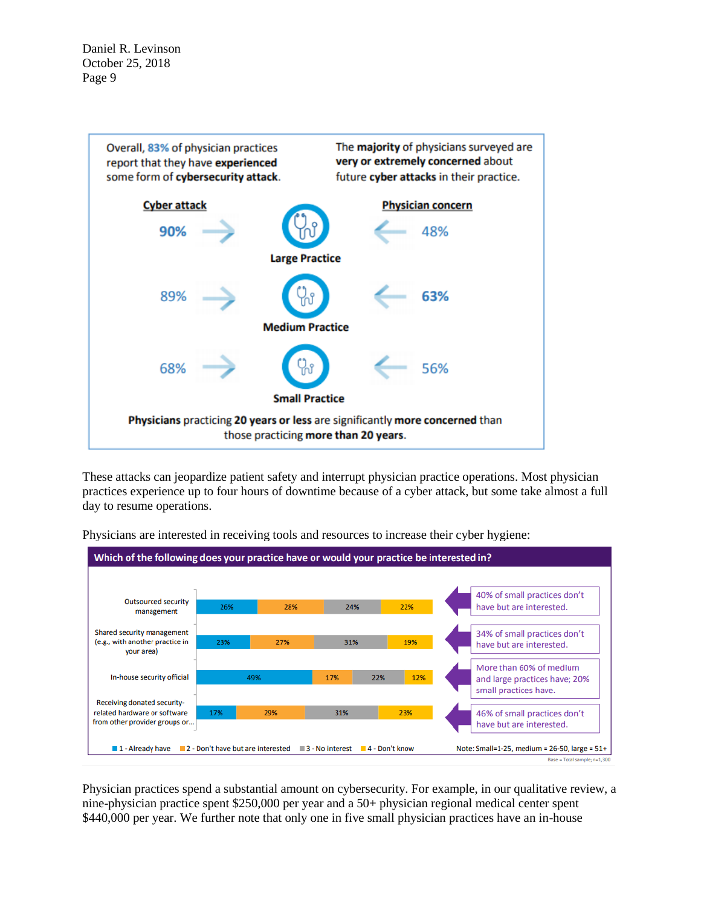

These attacks can jeopardize patient safety and interrupt physician practice operations. Most physician practices experience up to four hours of downtime because of a cyber attack, but some take almost a full day to resume operations.



Physicians are interested in receiving tools and resources to increase their cyber hygiene:

Physician practices spend a substantial amount on cybersecurity. For example, in our qualitative review, a nine-physician practice spent \$250,000 per year and a 50+ physician regional medical center spent \$440,000 per year. We further note that only one in five small physician practices have an in-house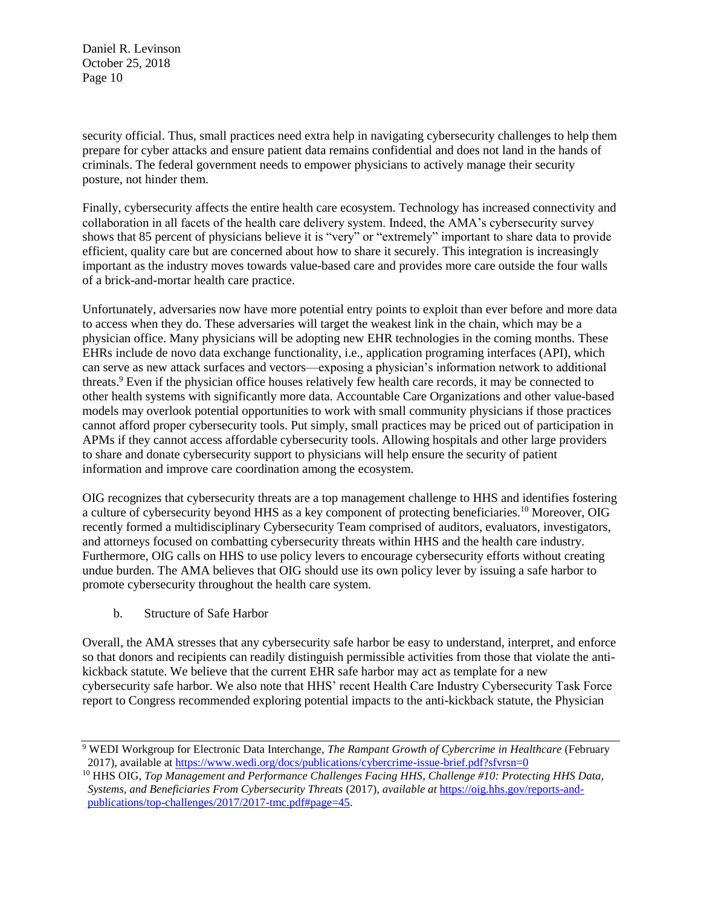security official. Thus, small practices need extra help in navigating cybersecurity challenges to help them prepare for cyber attacks and ensure patient data remains confidential and does not land in the hands of criminals. The federal government needs to empower physicians to actively manage their security posture, not hinder them.

Finally, cybersecurity affects the entire health care ecosystem. Technology has increased connectivity and collaboration in all facets of the health care delivery system. Indeed, the AMA's cybersecurity survey shows that 85 percent of physicians believe it is "very" or "extremely" important to share data to provide efficient, quality care but are concerned about how to share it securely. This integration is increasingly important as the industry moves towards value-based care and provides more care outside the four walls of a brick-and-mortar health care practice.

Unfortunately, adversaries now have more potential entry points to exploit than ever before and more data to access when they do. These adversaries will target the weakest link in the chain, which may be a physician office. Many physicians will be adopting new EHR technologies in the coming months. These EHRs include de novo data exchange functionality, i.e., application programing interfaces (API), which can serve as new attack surfaces and vectors—exposing a physician's information network to additional threats.<sup>9</sup> Even if the physician office houses relatively few health care records, it may be connected to other health systems with significantly more data. Accountable Care Organizations and other value-based models may overlook potential opportunities to work with small community physicians if those practices cannot afford proper cybersecurity tools. Put simply, small practices may be priced out of participation in APMs if they cannot access affordable cybersecurity tools. Allowing hospitals and other large providers to share and donate cybersecurity support to physicians will help ensure the security of patient information and improve care coordination among the ecosystem.

OIG recognizes that cybersecurity threats are a top management challenge to HHS and identifies fostering a culture of cybersecurity beyond HHS as a key component of protecting beneficiaries.<sup>10</sup> Moreover, OIG recently formed a multidisciplinary Cybersecurity Team comprised of auditors, evaluators, investigators, and attorneys focused on combatting cybersecurity threats within HHS and the health care industry. Furthermore, OIG calls on HHS to use policy levers to encourage cybersecurity efforts without creating undue burden. The AMA believes that OIG should use its own policy lever by issuing a safe harbor to promote cybersecurity throughout the health care system.

b. Structure of Safe Harbor

Overall, the AMA stresses that any cybersecurity safe harbor be easy to understand, interpret, and enforce so that donors and recipients can readily distinguish permissible activities from those that violate the antikickback statute. We believe that the current EHR safe harbor may act as template for a new cybersecurity safe harbor. We also note that HHS' recent Health Care Industry Cybersecurity Task Force report to Congress recommended exploring potential impacts to the anti-kickback statute, the Physician

<sup>9</sup> WEDI Workgroup for Electronic Data Interchange, *The Rampant Growth of Cybercrime in Healthcare* (February 2017), available at<https://www.wedi.org/docs/publications/cybercrime-issue-brief.pdf?sfvrsn=0>

<sup>10</sup> HHS OIG, *Top Management and Performance Challenges Facing HHS, Challenge #10: Protecting HHS Data, Systems, and Beneficiaries From Cybersecurity Threats* (2017), *available at* [https://oig.hhs.gov/reports-and](https://oig.hhs.gov/reports-and-publications/top-challenges/2017/2017-tmc.pdf#page=45)[publications/top-challenges/2017/2017-tmc.pdf#page=45.](https://oig.hhs.gov/reports-and-publications/top-challenges/2017/2017-tmc.pdf#page=45)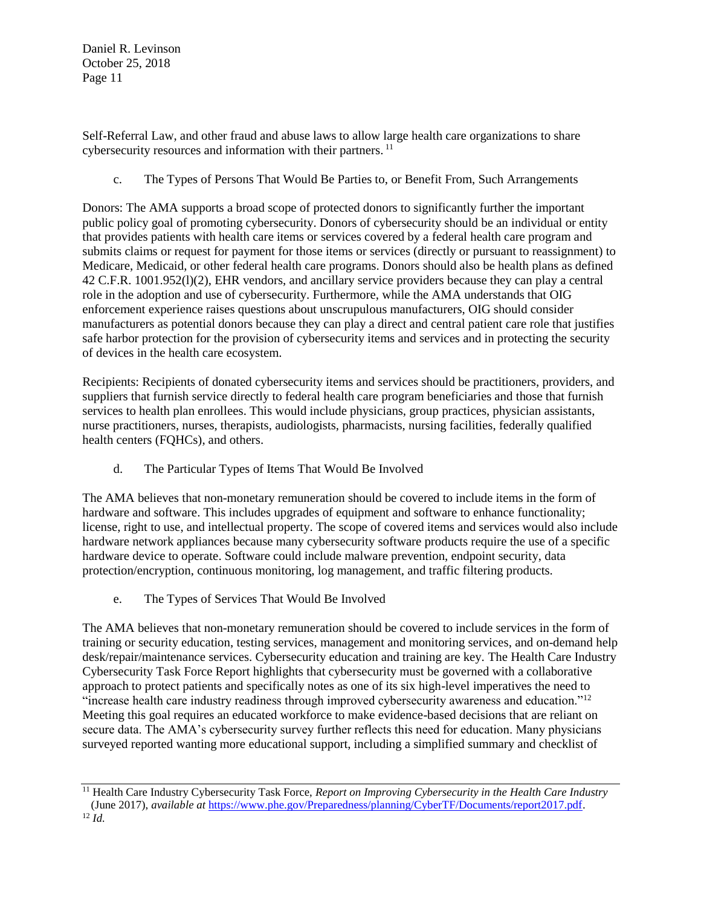Self-Referral Law, and other fraud and abuse laws to allow large health care organizations to share cybersecurity resources and information with their partners.<sup>11</sup>

c. The Types of Persons That Would Be Parties to, or Benefit From, Such Arrangements

Donors: The AMA supports a broad scope of protected donors to significantly further the important public policy goal of promoting cybersecurity. Donors of cybersecurity should be an individual or entity that provides patients with health care items or services covered by a federal health care program and submits claims or request for payment for those items or services (directly or pursuant to reassignment) to Medicare, Medicaid, or other federal health care programs. Donors should also be health plans as defined 42 C.F.R. 1001.952(l)(2), EHR vendors, and ancillary service providers because they can play a central role in the adoption and use of cybersecurity. Furthermore, while the AMA understands that OIG enforcement experience raises questions about unscrupulous manufacturers, OIG should consider manufacturers as potential donors because they can play a direct and central patient care role that justifies safe harbor protection for the provision of cybersecurity items and services and in protecting the security of devices in the health care ecosystem.

Recipients: Recipients of donated cybersecurity items and services should be practitioners, providers, and suppliers that furnish service directly to federal health care program beneficiaries and those that furnish services to health plan enrollees. This would include physicians, group practices, physician assistants, nurse practitioners, nurses, therapists, audiologists, pharmacists, nursing facilities, federally qualified health centers (FQHCs), and others.

d. The Particular Types of Items That Would Be Involved

The AMA believes that non-monetary remuneration should be covered to include items in the form of hardware and software. This includes upgrades of equipment and software to enhance functionality; license, right to use, and intellectual property. The scope of covered items and services would also include hardware network appliances because many cybersecurity software products require the use of a specific hardware device to operate. Software could include malware prevention, endpoint security, data protection/encryption, continuous monitoring, log management, and traffic filtering products.

e. The Types of Services That Would Be Involved

The AMA believes that non-monetary remuneration should be covered to include services in the form of training or security education, testing services, management and monitoring services, and on-demand help desk/repair/maintenance services. Cybersecurity education and training are key. The Health Care Industry Cybersecurity Task Force Report highlights that cybersecurity must be governed with a collaborative approach to protect patients and specifically notes as one of its six high-level imperatives the need to "increase health care industry readiness through improved cybersecurity awareness and education."<sup>12</sup> Meeting this goal requires an educated workforce to make evidence-based decisions that are reliant on secure data. The AMA's cybersecurity survey further reflects this need for education. Many physicians surveyed reported wanting more educational support, including a simplified summary and checklist of

<sup>11</sup> Health Care Industry Cybersecurity Task Force, *Report on Improving Cybersecurity in the Health Care Industry* (June 2017), *available at* [https://www.phe.gov/Preparedness/planning/CyberTF/Documents/report2017.pdf.](https://www.phe.gov/Preparedness/planning/CyberTF/Documents/report2017.pdf)

<sup>12</sup> *Id.*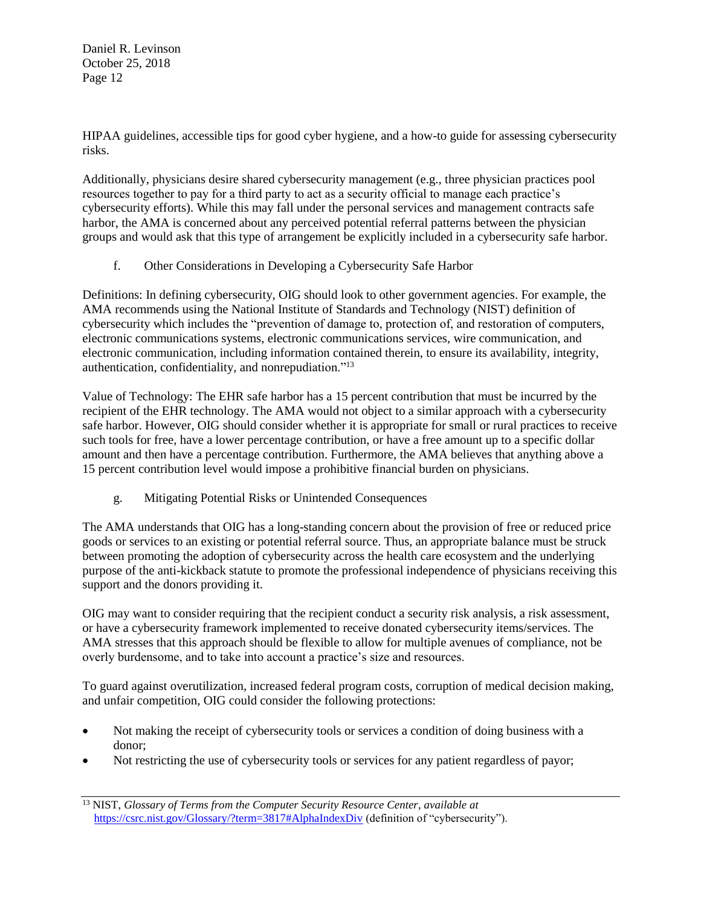HIPAA guidelines, accessible tips for good cyber hygiene, and a how-to guide for assessing cybersecurity risks.

Additionally, physicians desire shared cybersecurity management (e.g., three physician practices pool resources together to pay for a third party to act as a security official to manage each practice's cybersecurity efforts). While this may fall under the personal services and management contracts safe harbor, the AMA is concerned about any perceived potential referral patterns between the physician groups and would ask that this type of arrangement be explicitly included in a cybersecurity safe harbor.

f. Other Considerations in Developing a Cybersecurity Safe Harbor

Definitions: In defining cybersecurity, OIG should look to other government agencies. For example, the AMA recommends using the National Institute of Standards and Technology (NIST) definition of cybersecurity which includes the "prevention of damage to, protection of, and restoration of computers, electronic communications systems, electronic communications services, wire communication, and electronic communication, including information contained therein, to ensure its availability, integrity, authentication, confidentiality, and nonrepudiation."<sup>13</sup>

Value of Technology: The EHR safe harbor has a 15 percent contribution that must be incurred by the recipient of the EHR technology. The AMA would not object to a similar approach with a cybersecurity safe harbor. However, OIG should consider whether it is appropriate for small or rural practices to receive such tools for free, have a lower percentage contribution, or have a free amount up to a specific dollar amount and then have a percentage contribution. Furthermore, the AMA believes that anything above a 15 percent contribution level would impose a prohibitive financial burden on physicians.

g. Mitigating Potential Risks or Unintended Consequences

The AMA understands that OIG has a long-standing concern about the provision of free or reduced price goods or services to an existing or potential referral source. Thus, an appropriate balance must be struck between promoting the adoption of cybersecurity across the health care ecosystem and the underlying purpose of the anti-kickback statute to promote the professional independence of physicians receiving this support and the donors providing it.

OIG may want to consider requiring that the recipient conduct a security risk analysis, a risk assessment, or have a cybersecurity framework implemented to receive donated cybersecurity items/services. The AMA stresses that this approach should be flexible to allow for multiple avenues of compliance, not be overly burdensome, and to take into account a practice's size and resources.

To guard against overutilization, increased federal program costs, corruption of medical decision making, and unfair competition, OIG could consider the following protections:

- Not making the receipt of cybersecurity tools or services a condition of doing business with a donor;
- Not restricting the use of cybersecurity tools or services for any patient regardless of payor;

<sup>13</sup> NIST, *Glossary of Terms from the Computer Security Resource Center*, *available at* <https://csrc.nist.gov/Glossary/?term=3817#AlphaIndexDiv> (definition of "cybersecurity").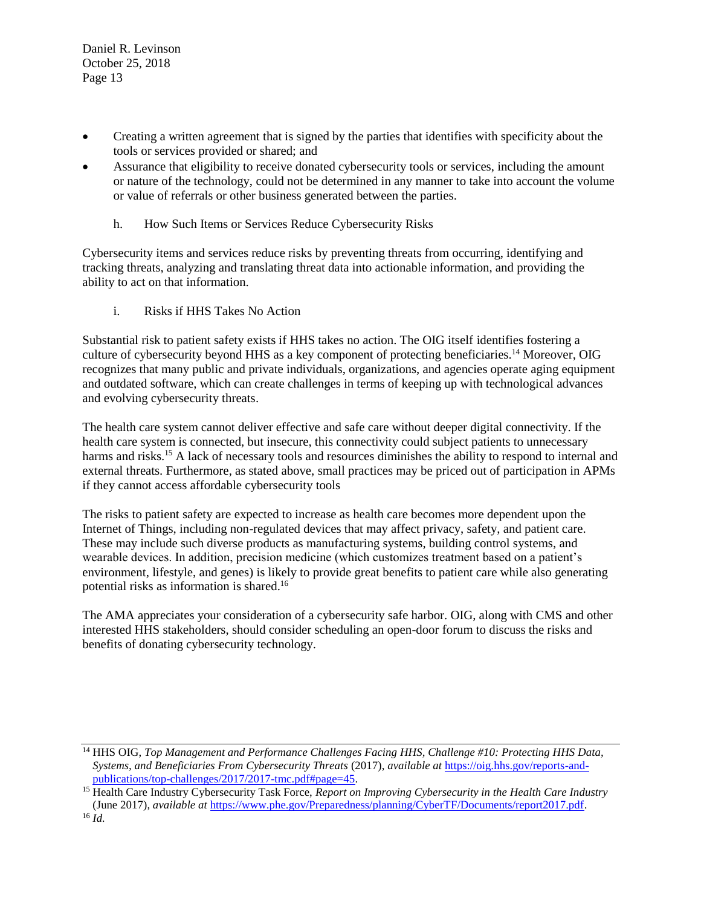- Creating a written agreement that is signed by the parties that identifies with specificity about the tools or services provided or shared; and
- Assurance that eligibility to receive donated cybersecurity tools or services, including the amount or nature of the technology, could not be determined in any manner to take into account the volume or value of referrals or other business generated between the parties.
	- h. How Such Items or Services Reduce Cybersecurity Risks

Cybersecurity items and services reduce risks by preventing threats from occurring, identifying and tracking threats, analyzing and translating threat data into actionable information, and providing the ability to act on that information.

i. Risks if HHS Takes No Action

Substantial risk to patient safety exists if HHS takes no action. The OIG itself identifies fostering a culture of cybersecurity beyond HHS as a key component of protecting beneficiaries.<sup>14</sup> Moreover, OIG recognizes that many public and private individuals, organizations, and agencies operate aging equipment and outdated software, which can create challenges in terms of keeping up with technological advances and evolving cybersecurity threats.

The health care system cannot deliver effective and safe care without deeper digital connectivity. If the health care system is connected, but insecure, this connectivity could subject patients to unnecessary harms and risks.<sup>15</sup> A lack of necessary tools and resources diminishes the ability to respond to internal and external threats. Furthermore, as stated above, small practices may be priced out of participation in APMs if they cannot access affordable cybersecurity tools

The risks to patient safety are expected to increase as health care becomes more dependent upon the Internet of Things, including non-regulated devices that may affect privacy, safety, and patient care. These may include such diverse products as manufacturing systems, building control systems, and wearable devices. In addition, precision medicine (which customizes treatment based on a patient's environment, lifestyle, and genes) is likely to provide great benefits to patient care while also generating potential risks as information is shared.<sup>16</sup>

The AMA appreciates your consideration of a cybersecurity safe harbor. OIG, along with CMS and other interested HHS stakeholders, should consider scheduling an open-door forum to discuss the risks and benefits of donating cybersecurity technology.

<sup>14</sup> HHS OIG, *Top Management and Performance Challenges Facing HHS, Challenge #10: Protecting HHS Data, Systems, and Beneficiaries From Cybersecurity Threats* (2017), *available at* [https://oig.hhs.gov/reports-and](https://oig.hhs.gov/reports-and-publications/top-challenges/2017/2017-tmc.pdf#page=45)[publications/top-challenges/2017/2017-tmc.pdf#page=45.](https://oig.hhs.gov/reports-and-publications/top-challenges/2017/2017-tmc.pdf#page=45)

<sup>15</sup> Health Care Industry Cybersecurity Task Force, *Report on Improving Cybersecurity in the Health Care Industry*  (June 2017), *available at* [https://www.phe.gov/Preparedness/planning/CyberTF/Documents/report2017.pdf.](https://www.phe.gov/Preparedness/planning/CyberTF/Documents/report2017.pdf)